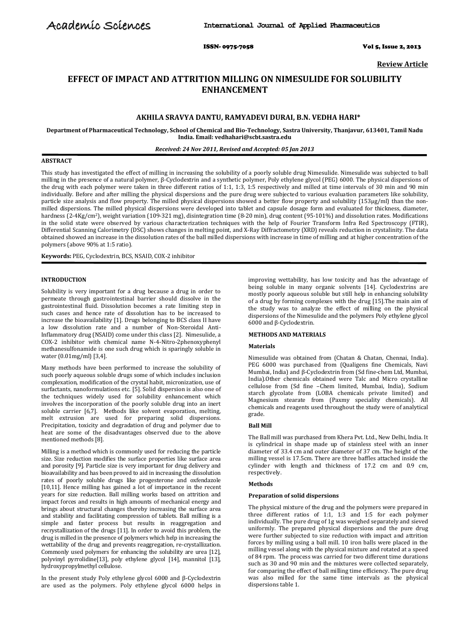ISSN- 0975-7058 Vol 5, Issue 2, 2013

**Review Article**

# **EFFECT OF IMPACT AND ATTRITION MILLING ON NIMESULIDE FOR SOLUBILITY ENHANCEMENT**

# **AKHILA SRAVYA DANTU, RAMYADEVI DURAI, B.N. VEDHA HARI\***

**Department of Pharmaceutical Technology, School of Chemical and Bio-Technology, Sastra University, Thanjavur, 613401, Tamil Nadu India. Email[: vedhahari@scbt.sastra.edu](mailto:vedhahari@scbt.sastra.edu)**

#### *Received: 24 Nov 2011, Revised and Accepted: 05 Jan 2013*

#### **ABSTRACT**

This study has investigated the effect of milling in increasing the solubility of a poorly soluble drug Nimesulide. Nimesulide was subjected to ball milling in the presence of a natural polymer, β-Cyclodextrin and a synthetic polymer, Poly ethylene glycol (PEG) 6000. The physical dispersions of the drug with each polymer were taken in three different ratios of 1:1, 1:3, 1:5 respectively and milled at time intervals of 30 min and 90 min individually. Before and after milling the physical dispersions and the pure drug were subjected to various evaluation parameters like solubility, particle size analysis and flow property. The milled physical dispersions showed a better flow property and solubility (153µg/ml) than the nonmilled dispersions. The milled physical dispersions were developed into tablet and capsule dosage form and evaluated for thickness, diameter, hardness (2-4Kg/cm2), weight variation (109-321 mg), disintegration time (8-20 min), drug content (95-101%) and dissolution rates. Modifications in the solid state were observed by various characterization techniques with the help of Fourier Transform Infra Red Spectroscopy (FTIR), Differential Scanning Calorimetry (DSC) shows changes in melting point, and X-Ray Diffractometry (XRD) reveals reduction in crystalinity. The data obtained showed an increase in the dissolution rates of the ball milled dispersions with increase in time of milling and at higher concentration of the polymers (above 90% at 1:5 ratio).

**Keywords:** PEG, Cyclodextrin, BCS, NSAID, COX-2 inhibitor

# **INTRODUCTION**

Solubility is very important for a drug because a drug in order to permeate through gastrointestinal barrier should dissolve in the gastrointestinal fluid. Dissolution becomes a rate limiting step in such cases and hence rate of dissolution has to be increased to increase the bioavailability [1]. Drugs belonging to BCS class II have a low dissolution rate and a number of Non-Steroidal Anti-Inflammatory drug (NSAID) come under this class [2]. Nimesulide, a COX-2 inhibitor with chemical name N-4-Nitro-2phenoxyphenyl methanesulfonamide is one such drug which is sparingly soluble in water (0.01mg/ml) [3,4].

Many methods have been performed to increase the solubility of such poorly aqueous soluble drugs some of which includes inclusion complexation, modification of the crystal habit, micronization, use of surfactants, nanoformulations etc. [5]. Solid dispersion is also one of the techniques widely used for solubility enhancement which involves the incorporation of the poorly soluble drug into an inert soluble carrier [6,7]. Methods like solvent evaporation, melting, melt extrusion are used for preparing solid dispersions. Precipitation, toxicity and degradation of drug and polymer due to heat are some of the disadvantages observed due to the above mentioned methods [8].

Milling is a method which is commonly used for reducing the particle size. Size reduction modifies the surface properties like surface area and porosity [9]. Particle size is very important for drug delivery and bioavailability and has been proved to aid in increasing the dissolution rates of poorly soluble drugs like progesterone and oxfendazole [10,11]. Hence milling has gained a lot of importance in the recent years for size reduction. Ball milling works based on attrition and impact forces and results in high amounts of mechanical energy and brings about structural changes thereby increasing the surface area and stability and facilitating compression of tablets. Ball milling is a simple and faster process but results in reaggregation and recrystallization of the drugs [11]. In order to avoid this problem, the drug is milled in the presence of polymers which help in increasing the wettability of the drug and prevents reaggregation, re-crystallization. Commonly used polymers for enhancing the solubility are urea [12], polyvinyl pyrrolidine[13], poly ethylene glycol [14], mannitol [13], hydroxypropylmethyl cellulose.

In the present study Poly ethylene glycol 6000 and β-Cyclodextrin are used as the polymers. Poly ethylene glycol 6000 helps in

improving wettability, has low toxicity and has the advantage of being soluble in many organic solvents [14]. Cyclodextrins are mostly poorly aqueous soluble but still help in enhancing solubility of a drug by forming complexes with the drug [15].The main aim of the study was to analyze the effect of milling on the physical dispersions of the Nimesulide and the polymers Poly ethylene glycol 6000 and β-Cyclodextrin.

# **METHODS AND MATERIALS**

#### **Materials**

Nimesulide was obtained from (Chatan & Chatan, Chennai, India). PEG 6000 was purchased from (Qualigens fine Chemicals, Navi Mumbai, India) and β-Cyclodextrin from (Sd fine-chem Ltd, Mumbai, India).Other chemicals obtained were Talc and Micro crystalline cellulose from (Sd fine –Chem limited, Mumbai, India), Sodium starch glycolate from (LOBA chemicals private limited) and Magnesium stearate from (Paxmy speciality chemicals). All chemicals and reagents used throughout the study were of analytical grade.

# **Ball Mill**

The Ball mill was purchased from Khera Pvt. Ltd., New Delhi, India. It is cylindrical in shape made up of stainless steel with an inner diameter of 33.4 cm and outer diameter of 37 cm. The height of the milling vessel is 17.5cm. There are three baffles attached inside the cylinder with length and thickness of 17.2 cm and 0.9 cm, respectively.

#### **Methods**

#### **Preparation of solid dispersions**

The physical mixture of the drug and the polymers were prepared in three different ratios of 1:1, 1:3 and 1:5 for each polymer individually. The pure drug of 1g was weighed separately and sieved uniformly. The prepared physical dispersions and the pure drug were further subjected to size reduction with impact and attrition forces by milling using a ball mill. 10 iron balls were placed in the milling vessel along with the physical mixture and rotated at a speed of 84 rpm. The process was carried for two different time durations such as 30 and 90 min and the mixtures were collected separately, for comparing the effect of ball milling time efficiency. The pure drug was also milled for the same time intervals as the physical dispersions table 1.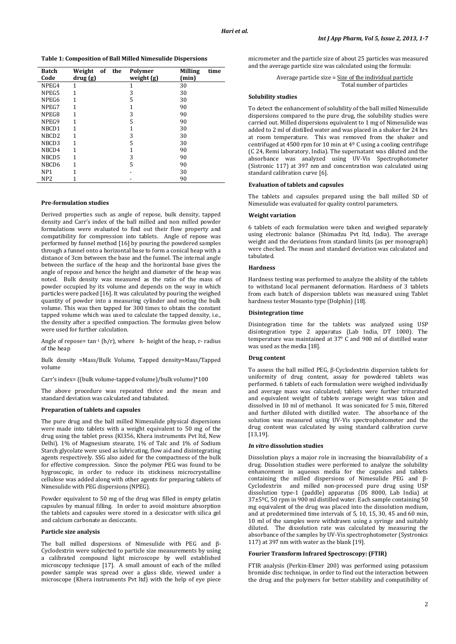**Table 1: Composition of Ball Milled Nimesulide Dispersions**

| <b>Batch</b><br>Code | Weight of the<br>drug (g) | Polymer<br>weight (g) | time<br><b>Milling</b><br>(min) |
|----------------------|---------------------------|-----------------------|---------------------------------|
| NPEG4                | 1                         |                       | 30                              |
| NPEG5                | 1                         | 3                     | 30                              |
| NPEG6                |                           | 5                     | 30                              |
| NPEG7                | 1                         |                       | 90                              |
| NPEG8                |                           | 3                     | 90                              |
| NPEG9                |                           | 5                     | 90                              |
| NBCD1                |                           |                       | 30                              |
| NBCD <sub>2</sub>    | 1                         | 3                     | 30                              |
| NBCD3                |                           | 5                     | 30                              |
| NBCD4                | 1                         |                       | 90                              |
| NBCD5                | 1                         | 3                     | 90                              |
| NBCD6                | 1                         | 5                     | 90                              |
| NP <sub>1</sub>      |                           |                       | 30                              |
| NP <sub>2</sub>      |                           |                       | 90                              |

# **Pre-formulation studies**

Derived properties such as angle of repose, bulk density, tapped density and Carr's index of the ball milled and non milled powder formulations were evaluated to find out their flow property and compatibility for compression into tablets. Angle of repose was performed by funnel method [16] by pouring the powdered samples through a funnel onto a horizontal base to form a conical heap with a distance of 3cm between the base and the funnel. The internal angle between the surface of the heap and the horizontal base gives the angle of repose and hence the height and diameter of the heap was noted. Bulk density was measured as the ratio of the mass of powder occupied by its volume and depends on the way in which particles were packed [16]. It was calculated by pouring the weighed quantity of powder into a measuring cylinder and noting the bulk volume. This was then tapped for 300 times to obtain the constant tapped volume which was used to calculate the tapped density, i.e., the density after a specified compaction. The formulas given below were used for further calculation.

Angle of repose=  $\tan^{-1}$  (h/r), where h- height of the heap, r- radius of the heap

Bulk density =Mass/Bulk Volume, Tapped density=Mass/Tapped volume

Carr's index= ((bulk volume-tapped volume)/bulk volume)\*100

The above procedure was repeated thrice and the mean and standard deviation was calculated and tabulated.

#### **Preparation of tablets and capsules**

The pure drug and the ball milled Nimesulide physical dispersions were made into tablets with a weight equivalent to 50 mg of the drug using the tablet press (KI356, Khera instruments Pvt ltd, New Delhi). 1% of Magnesium stearate, 1% of Talc and 1% of Sodium Starch glycolate were used as lubricating, flow aid and disintegrating agents respectively. SSG also aided for the compactness of the bulk for effective compression. Since the polymer PEG was found to be hygroscopic, in order to reduce its stickiness microcrystalline cellulose was added along with other agents for preparing tablets of Nimesulide with PEG dispersions (NPEG).

Powder equivalent to 50 mg of the drug was filled in empty gelatin capsules by manual filling. In order to avoid moisture absorption the tablets and capsules were stored in a desiccator with silica gel and calcium carbonate as desiccants.

#### **Particle size analysis**

The ball milled dispersions of Nimesulide with PEG and β-Cyclodextrin were subjected to particle size measurements by using a calibrated compound light microscope by well established microscopy technique [17]. A small amount of each of the milled powder sample was spread over a glass slide, viewed under a microscope (Khera instruments Pvt ltd) with the help of eye piece

micrometer and the particle size of about 25 particles was measured and the average particle size was calculated using the formula:

> Average particle size = Size of the individual particle Total number of particles

# **Solubility studies**

To detect the enhancement of solubility of the ball milled Nimesulide dispersions compared to the pure drug, the solubility studies were carried out. Milled dispersions equivalent to 1 mg of Nimesulide was added to 2 ml of distilled water and was placed in a shaker for 24 hrs at room temperature. This was removed from the shaker and centrifuged at 4500 rpm for 10 min at  $4^{\circ}$  C using a cooling centrifuge (C 24, Remi laboratory, India). The supernatant was diluted and the absorbance was analyzed using UV-Vis Spectrophotometer (Sistronic 117) at 397 nm and concentration was calculated using standard calibration curve [6].

# **Evaluation of tablets and capsules**

The tablets and capsules prepared using the ball milled SD of Nimesulide was evaluated for quality control parameters.

# **Weight variation**

6 tablets of each formulation were taken and weighed separately using electronic balance (Shimadzu Pvt ltd, India). The average weight and the deviations from standard limits (as per monograph) were checked. The mean and standard deviation was calculated and tabulated.

#### **Hardness**

Hardness testing was performed to analyze the ability of the tablets to withstand local permanent deformation. Hardness of 3 tablets from each batch of dispersion tablets was measured using Tablet hardness tester Mosanto type (Dolphin) [18].

# **Disintegration time**

Disintegration time for the tablets was analyzed using USP disintegration type 2 apparatus (Lab India, DT 1000). The temperature was maintained at 37° C and 900 ml of distilled water was used as the media [18].

#### **Drug content**

To assess the ball milled PEG, β-Cyclodextrin dispersion tablets for uniformity of drug content, assay for powdered tablets was performed. 6 tablets of each formulation were weighed individually and average mass was calculated; tablets were further triturated and equivalent weight of tablets average weight was taken and dissolved in 10 ml of methanol. It was sonicated for 5 min, filtered and further diluted with distilled water. The absorbance of the solution was measured using UV-Vis spectrophotometer and the drug content was calculated by using standard calibration curve [13,19].

#### *In vitro* **dissolution studies**

Dissolution plays a major role in increasing the bioavailability of a drug. Dissolution studies were performed to analyze the solubility enhancement in aqueous media for the capsules and tablets containing the milled dispersions of Nimesulide PEG and β-Cyclodextrin and milled non-processed pure drug using USP dissolution type-1 (paddle) apparatus (DS 8000, Lab India) at 37±5ºC, 50 rpm in 900 ml distilled water. Each sample containing 50 mg equivalent of the drug was placed into the dissolution medium, and at predetermined time intervals of 5, 10, 15, 30, 45 and 60 min, 10 ml of the samples were withdrawn using a syringe and suitably diluted. The dissolution rate was calculated by measuring the absorbance of the samples by UV-Vis spectrophotometer (Systronics 117) at 397 nm with water as the blank [19].

#### **Fourier Transform Infrared Spectroscopy: (FTIR)**

FTIR analysis (Perkin-Elmer 200) was performed using potassium bromide disc technique, in order to find out the interaction between the drug and the polymers for better stability and compatibility of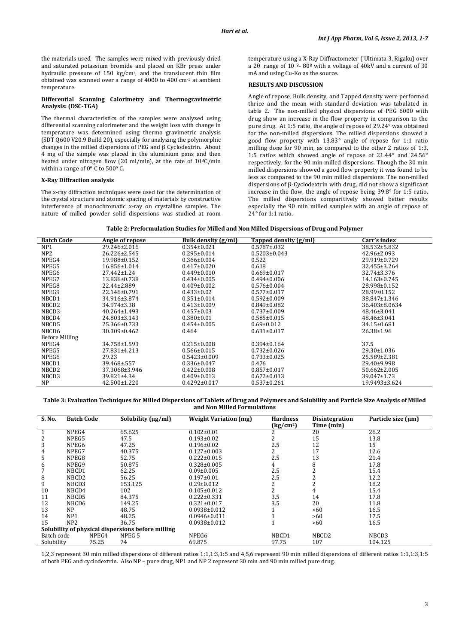the materials used. The samples were mixed with previously dried and saturated potassium bromide and placed on KBr press under hydraulic pressure of 150 kg/cm2, and the translucent thin film obtained was scanned over a range of 4000 to 400 cm-1 at ambient temperature.

#### **Differential Scanning Calorimetry and Thermogravimetric Analysis: (DSC-TGA)**

The thermal characteristics of the samples were analyzed using differential scanning calorimeter and the weight loss with change in temperature was determined using thermo gravimetric analysis (SDT Q600 V20.9 Build 20), especially for analyzing the polymorphic changes in the milled dispersions of PEG and β Cyclodextrin. About 4 mg of the sample was placed in the aluminium pans and then heated under nitrogen flow (20 ml/min), at the rate of 10ºC/min within a range of  $0^{\circ}$  C to 500° C.

# **X-Ray Diffraction analysis**

The x-ray diffraction techniques were used for the determination of the crystal structure and atomic spacing of materials by constructive interference of monochromatic x-ray on crystalline samples. The nature of milled powder solid dispersions was studied at room temperature using a X-Ray Diffractometer ( Ultimata 3, Rigaku) over a 2θ range of 10 º- 80º with a voltage of 40kV and a current of 30 mA and using Cu-Kα as the source.

#### **RESULTS AND DISCUSSION**

Angle of repose, Bulk density, and Tapped density were performed thrice and the mean with standard deviation was tabulated in table 2. The non-milled physical dispersions of PEG 6000 with drug show an increase in the flow property in comparison to the pure drug. At 1:5 ratio, the angle of repose of 29.24° was obtained for the non-milled dispersions. The milled dispersions showed a good flow property with 13.83° angle of repose for 1:1 ratio milling done for 90 min, as compared to the other 2 ratios of 1:3, 1:5 ratios which showed angle of repose of 21.44° and 24.56° respectively, for the 90 min milled dispersions. Though the 30 min milled dispersions showed a good flow property it was found to be less as compared to the 90 min milled dispersions. The non-milled dispersions of β-Cyclodextrin with drug, did not show a significant increase in the flow, the angle of repose being 39.8° for 1:5 ratio. The milled dispersions comparitively showed better results especially the 90 min milled samples with an angle of repose of 24° for 1:1 ratio.

**Table 2: Preformulation Studies for Milled and Non Milled Dispersions of Drug and Polymer**

| <b>Batch Code</b>     | Angle of repose    | Bulk density (g/ml) | Tapped density (g/ml) | Carr's index       |
|-----------------------|--------------------|---------------------|-----------------------|--------------------|
| NP <sub>1</sub>       | 29.246±2.016       | $0.354 \pm 0.021$   | $0.5787 \pm 0.032$    | 38.532±5.832       |
| NP2                   | 26.226±2.545       | $0.295 \pm 0.014$   | $0.5203 \pm 0.043$    | 42.96±2.093        |
| NPEG4                 | 19.988±0.152       | $0.366 \pm 0.004$   | 0.522                 | 29.919±0.729       |
| NPEG5                 | 16.856±1.014       | $0.417 \pm 0.020$   | 0.618                 | 32.455±3.264       |
| NPEG6                 | $27.442 \pm 1.24$  | $0.449 \pm 0.010$   | $0.669 \pm 0.017$     | $32.74 \pm 3.376$  |
| NPEG7                 | 13.836±0.738       | $0.434 \pm 0.005$   | $0.494 \pm 0.006$     | $14.163 \pm 0.745$ |
| NPEG8                 | 22.44±2.889        | $0.409 \pm 0.002$   | $0.576 \pm 0.004$     | 28.998±0.152       |
| NPEG9                 | 22.146±0.791       | $0.433 \pm 0.02$    | $0.577 \pm 0.017$     | 28.99±0.152        |
| NBCD1                 | 34.916±3.874       | $0.351 \pm 0.014$   | $0.592 \pm 0.009$     | 38.847±1.346       |
| NBCD <sub>2</sub>     | 34.974±3.38        | $0.413 \pm 0.009$   | $0.849 \pm 0.082$     | 36.403±8.0634      |
| NBCD3                 | $40.264 \pm 1.493$ | $0.457 \pm 0.03$    | $0.737 \pm 0.009$     | 48.46±3.041        |
| NBCD4                 | 24.803±3.143       | $0.380 \pm 0.01$    | $0.585 \pm 0.015$     | $48.46 \pm 3.041$  |
| NBCD5                 | 25.366±0.733       | $0.454 \pm 0.005$   | $0.69 \pm 0.012$      | $34.15 \pm 0.681$  |
| NBCD6                 | 30.309±0.462       | 0.464               | $0.631 \pm 0.017$     | 26.38±1.96         |
| <b>Before Milling</b> |                    |                     |                       |                    |
| NPEG4                 | 34.758±1.593       | $0.215 \pm 0.008$   | $0.394 \pm 0.164$     | 37.5               |
| NPEG5                 | $27.831 \pm 4.213$ | $0.566 \pm 0.015$   | $0.732 \pm 0.026$     | $29.30 \pm 1.036$  |
| NPEG6                 | 29.23              | $0.5423 \pm 0.009$  | $0.733 \pm 0.025$     | 25.589±2.381       |
| NBCD1                 | 39.468±.557        | $0.336 \pm 0.047$   | 0.476                 | 29.40±9.998        |
| NBCD <sub>2</sub>     | 37.3068±3.946      | $0.422 \pm 0.008$   | $0.857 \pm 0.017$     | $50.662 \pm 2.005$ |
| NBCD3                 | 39.821±4.34        | $0.409 \pm 0.013$   | $0.672 \pm 0.013$     | 39.047±1.73        |
| <b>NP</b>             | $42.500 \pm 1.220$ | $0.4292 \pm 0.017$  | $0.537 \pm 0.261$     | 19.9493±3.624      |

**Table 3: Evaluation Techniques for Milled Dispersions of Tablets of Drug and Polymers and Solubility and Particle Size Analysis of Milled and Non Milled Formulations**

| S. No.                                            | <b>Batch Code</b> | Solubility (μg/ml) | <b>Weight Variation (mg)</b> | <b>Hardness</b><br>$\frac{\text{kg}}{\text{cm}^2}$ | <b>Disintegration</b><br>Time (min) | Particle size $(\mu m)$ |  |  |
|---------------------------------------------------|-------------------|--------------------|------------------------------|----------------------------------------------------|-------------------------------------|-------------------------|--|--|
|                                                   | NPEG4             | 65.625             | $0.102 \pm 0.01$             |                                                    | 20                                  | 26.2                    |  |  |
| 2                                                 | NPEG5             | 47.5               | $0.193 \pm 0.02$             |                                                    | 15                                  | 13.8                    |  |  |
| 3                                                 | NPEG6             | 47.25              | $0.196 \pm 0.02$             | 2.5                                                | 12                                  | 15                      |  |  |
| 4                                                 | NPEG7             | 40.375             | $0.127 \pm 0.003$            | 2                                                  | 17                                  | 12.6                    |  |  |
| 5                                                 | NPEG8             | 52.75              | $0.222 \pm 0.015$            | 2.5                                                | 13                                  | 21.4                    |  |  |
| 6                                                 | NPEG9             | 50.875             | $0.328 \pm 0.005$            | 4                                                  | 8                                   | 17.8                    |  |  |
|                                                   | NBCD1             | 62.25              | $0.09 \pm 0.005$             | 2.5                                                |                                     | 15.4                    |  |  |
| 8                                                 | NBCD2             | 56.25              | $0.197 \pm 0.01$             | 2.5                                                |                                     | 12.2                    |  |  |
| 9                                                 | NBCD3             | 153.125            | $0.29 \pm 0.012$             | 2                                                  | 2                                   | 18.2                    |  |  |
| 10                                                | NBCD4             | 102                | $0.105 \pm 0.012$            | 2                                                  | 4                                   | 15.4                    |  |  |
| 11                                                | NBCD5             | 84.375             | $0.222 \pm 0.331$            | 3.5                                                | 14                                  | 17.8                    |  |  |
| 12                                                | NBCD6             | 149.25             | $0.321 \pm 0.017$            | 3.5                                                | 20                                  | 11.8                    |  |  |
| 13                                                | <b>NP</b>         | 48.75              | $0.0938\pm0.012$             |                                                    | >60                                 | 16.5                    |  |  |
| 14                                                | NP <sub>1</sub>   | 48.25              | $0.0946 \pm 0.011$           |                                                    | >60                                 | 17.5                    |  |  |
| 15                                                | NP2               | 36.75              | $0.0938 \pm 0.012$           |                                                    | >60                                 | 16.5                    |  |  |
| Solubility of physical dispersions before milling |                   |                    |                              |                                                    |                                     |                         |  |  |
| Batch code                                        | NPEG4             | NPEG <sub>5</sub>  | NPEG6                        | NBCD1                                              | NBCD <sub>2</sub>                   | NBCD3                   |  |  |
| Solubility                                        | 75.25             | 74                 | 69.875                       | 97.75                                              | 107                                 | 104.125                 |  |  |

1,2,3 represent 30 min milled dispersions of different ratios 1:1,1:3,1:5 and 4,5,6 represent 90 min milled dispersions of different ratios 1:1,1:3,1:5 of both PEG and cyclodextrin. Also NP – pure drug, NP1 and NP 2 represent 30 min and 90 min milled pure drug.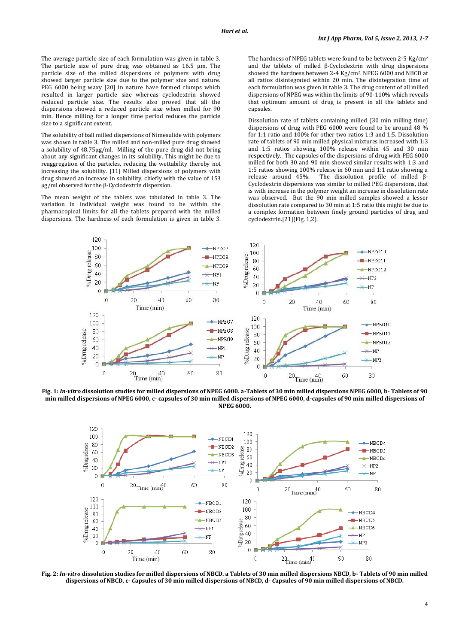The average particle size of each formulation was given in table 3. The particle size of pure drug was obtained as 16.5 µm. The particle size of the milled dispersions of polymers with drug showed larger particle size due to the polymer size and nature. PEG 6000 being waxy [20] in nature have formed clumps which resulted in larger particle size whereas cyclodextrin showed reduced particle size. The results also proved that all the dispersions showed a reduced particle size when milled for 90 min. Hence milling for a longer time period reduces the particle size to a significant extent.

The solubility of ball milled dispersions of Nimesulide with polymers was shown in table 3. The milled and non-milled pure drug showed a solubility of 48.75µg/ml. Milling of the pure drug did not bring about any significant changes in its solubility. This might be due to reaggregation of the particles, reducing the wettability thereby not increasing the solubility. [11] Milled dispersions of polymers with drug showed an increase in solubility, chiefly with the value of 153 µg/ml observed for the β-Cyclodextrin dispersion.

The mean weight of the tablets was tabulated in table 3. The variation in individual weight was found to be within the pharmacopieal limits for all the tablets prepared with the milled dispersions. The hardness of each formulation is given in table 3.

The hardness of NPEG tablets were found to be between 2-5 Kg/cm<sup>2</sup> and the tablets of milled β-Cyclodextrin with drug dispersions showed the hardness between 2-4 Kg/cm2. NPEG 6000 and NBCD at all ratios disintegrated within 20 min. The disintegration time of each formulation was given in table 3. The drug content of all milled dispersions of NPEG was within the limits of 90-110% which reveals that optimum amount of drug is present in all the tablets and capsules.

Dissolution rate of tablets containing milled (30 min milling time) dispersions of drug with PEG 6000 were found to be around 48 % for 1:1 ratio and 100% for other two ratios 1:3 and 1:5. Dissolution rate of tablets of 90 min milled physical mixtures increased with 1:3 and 1:5 ratios showing 100% release within 45 and 30 min respectively. The capsules of the dispersions of drug with PEG 6000 milled for both 30 and 90 min showed similar results with 1:3 and 1:5 ratios showing 100% release in 60 min and 1:1 ratio showing a release around 45%. The dissolution profile of milled β-Cyclodextrin dispersions was similar to milled PEG dispersions, that is with increase in the polymer weight an increase in dissolution rate was observed. But the 90 min milled samples showed a lesser dissolution rate compared to 30 min at 1:5 ratio this might be due to a complex formation between finely ground particles of drug and cyclodextrin.[21](Fig. 1,2).



**Fig. 1:** *In-vitro* **dissolution studies for milled dispersions of NPEG 6000. a-Tablets of 30 min milled dispersions NPEG 6000, b- Tablets of 90 min milled dispersions of NPEG 6000, c- capsules of 30 min milled dispersions of NPEG 6000, d-capsules of 90 min milled dispersions of NPEG 6000.**



**Fig. 2:** *In-vitro* **dissolution studies for milled dispersions of NBCD. a Tablets of 30 min milled dispersions NBCD, b- Tablets of 90 min milled dispersions of NBCD, c-** *C***apsules of 30 min milled dispersions of NBCD, d-** *C***apsules of 90 min milled dispersions of NBCD.**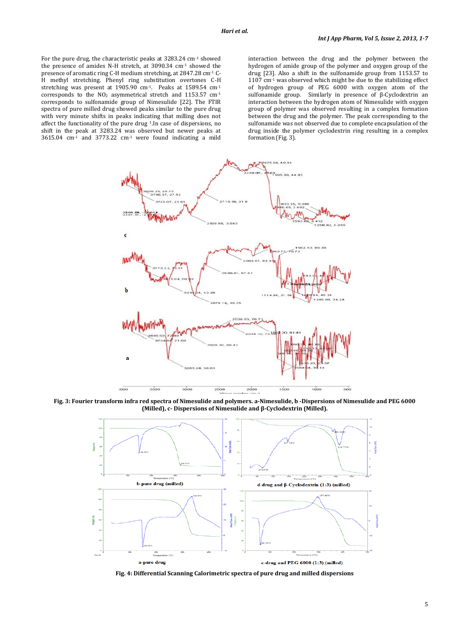For the pure drug, the characteristic peaks at 3283.24 cm-1 showed the presence of amides N-H stretch, at 3090.34 cm-1 showed the presence of aromatic ring C-H medium stretching, at 2847.28 cm-1 C-H methyl stretching. Phenyl ring substitution overtones C-H stretching was present at 1905.90 cm-1. Peaks at 1589.54 cm-1 corresponds to the  $NO<sub>2</sub>$  asymmetrical stretch and 1153.57 cm<sup>-1</sup> corresponds to sulfonamide group of Nimesulide [22]. The FTIR spectra of pure milled drug showed peaks similar to the pure drug with very minute shifts in peaks indicating that milling does not affect the functionality of the pure drug <sup>1</sup>.In case of dispersions, no shift in the peak at 3283.24 was observed but newer peaks at  $3615.04$  cm<sup>-1</sup> and  $3773.22$  cm<sup>-1</sup> were found indicating a mild

interaction between the drug and the polymer between the hydrogen of amide group of the polymer and oxygen group of the drug [23]. Also a shift in the sulfonamide group from 1153.57 to 1107 cm<sup>-1</sup> was observed which might be due to the stabilizing effect of hydrogen group of PEG 6000 with oxygen atom of the sulfonamide group. Similarly in presence of β-Cyclodextrin an interaction between the hydrogen atom of Nimesulide with oxygen group of polymer was observed resulting in a complex formation between the drug and the polymer. The peak corresponding to the sulfonamide was not observed due to complete encapsulation of the drug inside the polymer cyclodextrin ring resulting in a complex formation (Fig. 3).



**Fig. 3: Fourier transform infra red spectra of Nimesulide and polymers. a-Nimesulide, b -Dispersions of Nimesulide and PEG 6000 (Milled), c- Dispersions of Nimesulide and β-Cyclodextrin (Milled).**



**Fig. 4: Differential Scanning Calorimetric spectra of pure drug and milled dispersions**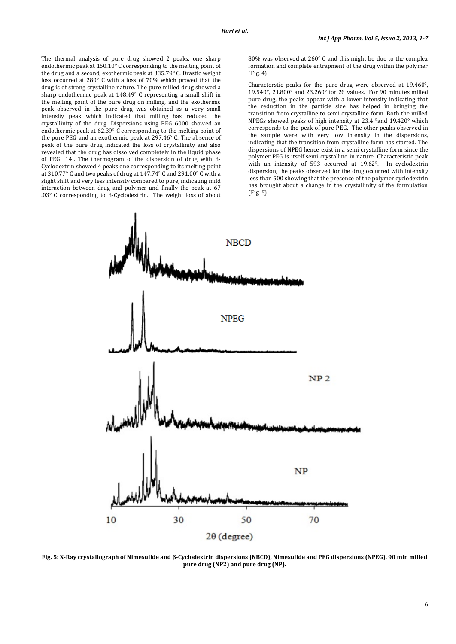The thermal analysis of pure drug showed 2 peaks, one sharp endothermic peak at 150.10° C corresponding to the melting point of the drug and a second, exothermic peak at 335.79° C. Drastic weight loss occurred at 280° C with a loss of 70% which proved that the drug is of strong crystalline nature. The pure milled drug showed a sharp endothermic peak at 148.49° C representing a small shift in the melting point of the pure drug on milling, and the exothermic peak observed in the pure drug was obtained as a very small intensity peak which indicated that milling has reduced the crystallinity of the drug. Dispersions using PEG 6000 showed an endothermic peak at 62.39° C corresponding to the melting point of the pure PEG and an exothermic peak at 297.46° C. The absence of peak of the pure drug indicated the loss of crystallinity and also revealed that the drug has dissolved completely in the liquid phase of PEG [14]. The thermogram of the dispersion of drug with β-Cyclodextrin showed 4 peaks one corresponding to its melting point at 310.77° C and two peaks of drug at 147.74° C and 291.00° C with a slight shift and very less intensity compared to pure, indicating mild interaction between drug and polymer and finally the peak at 67 .03° C corresponding to β-Cyclodextrin. The weight loss of about 80% was observed at 260° C and this might be due to the complex formation and complete entrapment of the drug within the polymer (Fig. 4)

Characterstic peaks for the pure drug were observed at 19.460°, 19.540°, 21.800° and 23.260° for 2θ values. For 90 minutes milled pure drug, the peaks appear with a lower intensity indicating that the reduction in the particle size has helped in bringing the transition from crystalline to semi crystalline form. Both the milled NPEGs showed peaks of high intensity at 23.4 °and 19.420° which corresponds to the peak of pure PEG. The other peaks observed in the sample were with very low intensity in the dispersions, indicating that the transition from crystalline form has started. The dispersions of NPEG hence exist in a semi crystalline form since the polymer PEG is itself semi crystalline in nature. Characteristic peak with an intensity of 593 occurred at 19.62°. In cyclodextrin dispersion, the peaks observed for the drug occurred with intensity less than 500 showing that the presence of the polymer cyclodextrin has brought about a change in the crystallinity of the formulation (Fig. 5).



**Fig. 5: X-Ray crystallograph of Nimesulide and β-Cyclodextrin dispersions (NBCD), Nimesulide and PEG dispersions (NPEG), 90 min milled pure drug (NP2) and pure drug (NP).**